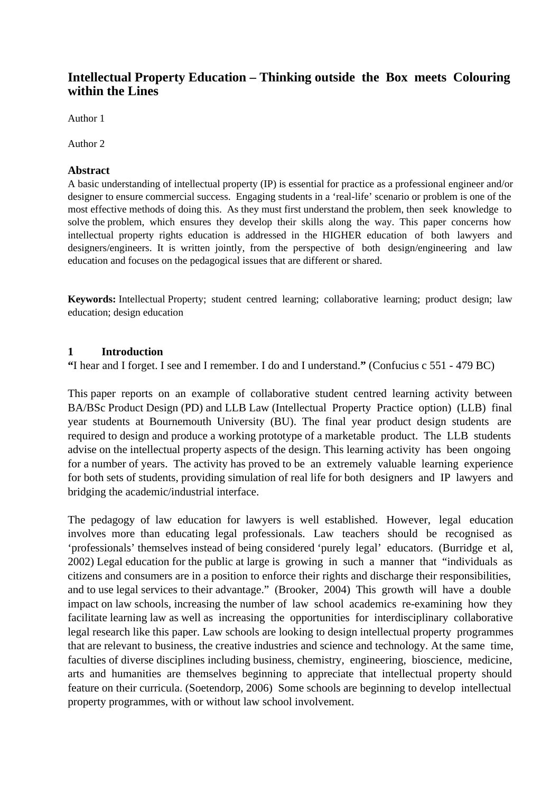# **Intellectual Property Education – Thinking outside the Box meets Colouring within the Lines**

Author 1

Author 2

#### **Abstract**

A basic understanding of intellectual property (IP) is essential for practice as a professional engineer and/or designer to ensure commercial success. Engaging students in a 'real-life' scenario or problem is one of the most effective methods of doing this. As they must first understand the problem, then seek knowledge to solve the problem, which ensures they develop their skills along the way. This paper concerns how intellectual property rights education is addressed in the HIGHER education of both lawyers and designers/engineers. It is written jointly, from the perspective of both design/engineering and law education and focuses on the pedagogical issues that are different or shared.

**Keywords:** Intellectual Property; student centred learning; collaborative learning; product design; law education; design education

#### **1 Introduction**

**"**I hear and I forget. I see and I remember. I do and I understand.**"** (Confucius c 551 - 479 BC)

This paper reports on an example of collaborative student centred learning activity between BA/BSc Product Design (PD) and LLB Law (Intellectual Property Practice option) (LLB) final year students at Bournemouth University (BU). The final year product design students are required to design and produce a working prototype of a marketable product. The LLB students advise on the intellectual property aspects of the design. This learning activity has been ongoing for a number of years. The activity has proved to be an extremely valuable learning experience for both sets of students, providing simulation of real life for both designers and IP lawyers and bridging the academic/industrial interface.

The pedagogy of law education for lawyers is well established. However, legal education involves more than educating legal professionals. Law teachers should be recognised as 'professionals' themselves instead of being considered 'purely legal' educators. (Burridge et al, 2002) Legal education for the public at large is growing in such a manner that "individuals as citizens and consumers are in a position to enforce their rights and discharge their responsibilities, and to use legal services to their advantage." (Brooker, 2004) This growth will have a double impact on law schools, increasing the number of law school academics re-examining how they facilitate learning law as well as increasing the opportunities for interdisciplinary collaborative legal research like this paper. Law schools are looking to design intellectual property programmes that are relevant to business, the creative industries and science and technology. At the same time, faculties of diverse disciplines including business, chemistry, engineering, bioscience, medicine, arts and humanities are themselves beginning to appreciate that intellectual property should feature on their curricula. (Soetendorp, 2006) Some schools are beginning to develop intellectual property programmes, with or without law school involvement.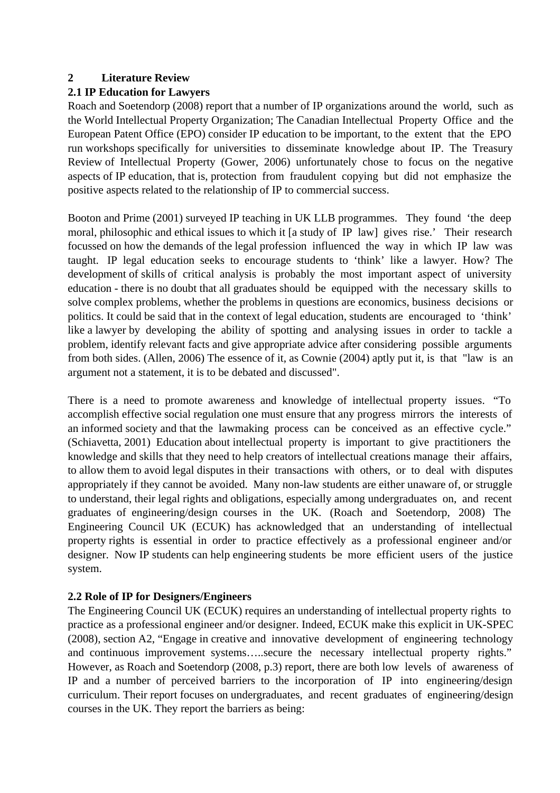## **2 Literature Review**

# **2.1 IP Education for Lawyers**

Roach and Soetendorp (2008) report that a number of IP organizations around the world, such as the World Intellectual Property Organization; The Canadian Intellectual Property Office and the European Patent Office (EPO) consider IP education to be important, to the extent that the EPO run workshops specifically for universities to disseminate knowledge about IP. The Treasury Review of Intellectual Property (Gower, 2006) unfortunately chose to focus on the negative aspects of IP education, that is, protection from fraudulent copying but did not emphasize the positive aspects related to the relationship of IP to commercial success.

Booton and Prime (2001) surveyed IP teaching in UK LLB programmes. They found 'the deep moral, philosophic and ethical issues to which it [a study of IP law] gives rise.' Their research focussed on how the demands of the legal profession influenced the way in which IP law was taught. IP legal education seeks to encourage students to 'think' like a lawyer. How? The development of skills of critical analysis is probably the most important aspect of university education - there is no doubt that all graduates should be equipped with the necessary skills to solve complex problems, whether the problems in questions are economics, business decisions or politics. It could be said that in the context of legal education, students are encouraged to 'think' like a lawyer by developing the ability of spotting and analysing issues in order to tackle a problem, identify relevant facts and give appropriate advice after considering possible arguments from both sides. (Allen, 2006) The essence of it, as Cownie (2004) aptly put it, is that "law is an argument not a statement, it is to be debated and discussed".

There is a need to promote awareness and knowledge of intellectual property issues. "To accomplish effective social regulation one must ensure that any progress mirrors the interests of an informed society and that the lawmaking process can be conceived as an effective cycle." (Schiavetta, 2001) Education about intellectual property is important to give practitioners the knowledge and skills that they need to help creators of intellectual creations manage their affairs, to allow them to avoid legal disputes in their transactions with others, or to deal with disputes appropriately if they cannot be avoided. Many non-law students are either unaware of, or struggle to understand, their legal rights and obligations, especially among undergraduates on, and recent graduates of engineering/design courses in the UK. (Roach and Soetendorp, 2008) The Engineering Council UK (ECUK) has acknowledged that an understanding of intellectual property rights is essential in order to practice effectively as a professional engineer and/or designer. Now IP students can help engineering students be more efficient users of the justice system.

## **2.2 Role of IP for Designers/Engineers**

The Engineering Council UK (ECUK) requires an understanding of intellectual property rights to practice as a professional engineer and/or designer. Indeed, ECUK make this explicit in UK-SPEC (2008), section A2, "Engage in creative and innovative development of engineering technology and continuous improvement systems…..secure the necessary intellectual property rights." However, as Roach and Soetendorp (2008, p.3) report, there are both low levels of awareness of IP and a number of perceived barriers to the incorporation of IP into engineering/design curriculum. Their report focuses on undergraduates, and recent graduates of engineering/design courses in the UK. They report the barriers as being: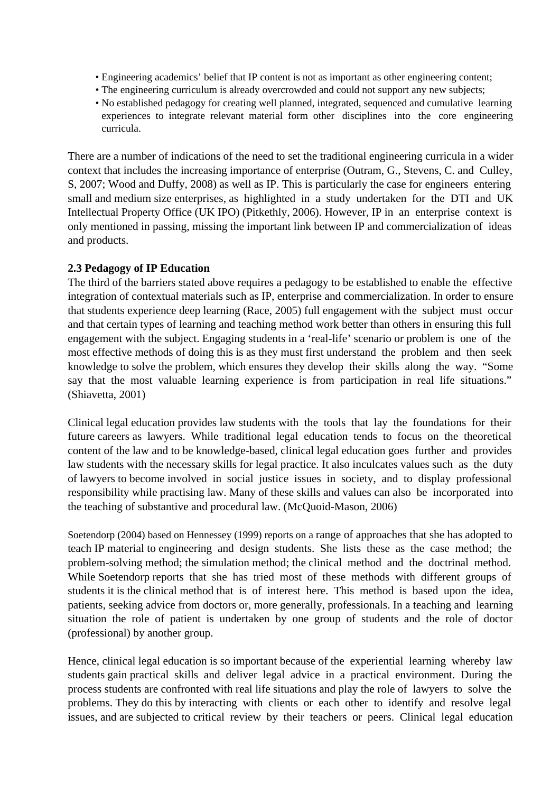- Engineering academics' belief that IP content is not as important as other engineering content;
- The engineering curriculum is already overcrowded and could not support any new subjects;
- No established pedagogy for creating well planned, integrated, sequenced and cumulative learning experiences to integrate relevant material form other disciplines into the core engineering curricula.

There are a number of indications of the need to set the traditional engineering curricula in a wider context that includes the increasing importance of enterprise (Outram, G., Stevens, C. and Culley, S, 2007; Wood and Duffy, 2008) as well as IP. This is particularly the case for engineers entering small and medium size enterprises, as highlighted in a study undertaken for the DTI and UK Intellectual Property Office (UK IPO) (Pitkethly, 2006). However, IP in an enterprise context is only mentioned in passing, missing the important link between IP and commercialization of ideas and products.

#### **2.3 Pedagogy of IP Education**

The third of the barriers stated above requires a pedagogy to be established to enable the effective integration of contextual materials such as IP, enterprise and commercialization. In order to ensure that students experience deep learning (Race, 2005) full engagement with the subject must occur and that certain types of learning and teaching method work better than others in ensuring this full engagement with the subject. Engaging students in a 'real-life' scenario or problem is one of the most effective methods of doing this is as they must first understand the problem and then seek knowledge to solve the problem, which ensures they develop their skills along the way. "Some say that the most valuable learning experience is from participation in real life situations." (Shiavetta, 2001)

Clinical legal education provides law students with the tools that lay the foundations for their future careers as lawyers. While traditional legal education tends to focus on the theoretical content of the law and to be knowledge-based, clinical legal education goes further and provides law students with the necessary skills for legal practice. It also inculcates values such as the duty of lawyers to become involved in social justice issues in society, and to display professional responsibility while practising law. Many of these skills and values can also be incorporated into the teaching of substantive and procedural law. (McQuoid-Mason, 2006)

Soetendorp (2004) based on Hennessey (1999) reports on a range of approaches that she has adopted to teach IP material to engineering and design students. She lists these as the case method; the problem-solving method; the simulation method; the clinical method and the doctrinal method. While Soetendorp reports that she has tried most of these methods with different groups of students it is the clinical method that is of interest here. This method is based upon the idea, patients, seeking advice from doctors or, more generally, professionals. In a teaching and learning situation the role of patient is undertaken by one group of students and the role of doctor (professional) by another group.

Hence, clinical legal education is so important because of the experiential learning whereby law students gain practical skills and deliver legal advice in a practical environment. During the process students are confronted with real life situations and play the role of lawyers to solve the problems. They do this by interacting with clients or each other to identify and resolve legal issues, and are subjected to critical review by their teachers or peers. Clinical legal education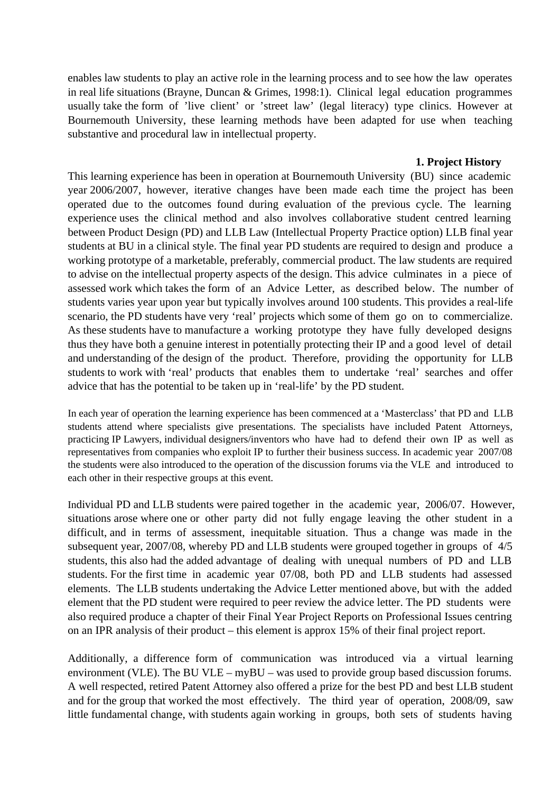enables law students to play an active role in the learning process and to see how the law operates in real life situations (Brayne, Duncan & Grimes, 1998:1). Clinical legal education programmes usually take the form of 'live client' or 'street law' (legal literacy) type clinics. However at Bournemouth University, these learning methods have been adapted for use when teaching substantive and procedural law in intellectual property.

#### **1. Project History**

This learning experience has been in operation at Bournemouth University (BU) since academic year 2006/2007, however, iterative changes have been made each time the project has been operated due to the outcomes found during evaluation of the previous cycle. The learning experience uses the clinical method and also involves collaborative student centred learning between Product Design (PD) and LLB Law (Intellectual Property Practice option) LLB final year students at BU in a clinical style. The final year PD students are required to design and produce a working prototype of a marketable, preferably, commercial product. The law students are required to advise on the intellectual property aspects of the design. This advice culminates in a piece of assessed work which takes the form of an Advice Letter, as described below. The number of students varies year upon year but typically involves around 100 students. This provides a real-life scenario, the PD students have very 'real' projects which some of them go on to commercialize. As these students have to manufacture a working prototype they have fully developed designs thus they have both a genuine interest in potentially protecting their IP and a good level of detail and understanding of the design of the product. Therefore, providing the opportunity for LLB students to work with 'real' products that enables them to undertake 'real' searches and offer advice that has the potential to be taken up in 'real-life' by the PD student.

In each year of operation the learning experience has been commenced at a 'Masterclass' that PD and LLB students attend where specialists give presentations. The specialists have included Patent Attorneys, practicing IP Lawyers, individual designers/inventors who have had to defend their own IP as well as representatives from companies who exploit IP to further their business success. In academic year 2007/08 the students were also introduced to the operation of the discussion forums via the VLE and introduced to each other in their respective groups at this event.

Individual PD and LLB students were paired together in the academic year, 2006/07. However, situations arose where one or other party did not fully engage leaving the other student in a difficult, and in terms of assessment, inequitable situation. Thus a change was made in the subsequent year, 2007/08, whereby PD and LLB students were grouped together in groups of 4/5 students, this also had the added advantage of dealing with unequal numbers of PD and LLB students. For the first time in academic year 07/08, both PD and LLB students had assessed elements. The LLB students undertaking the Advice Letter mentioned above, but with the added element that the PD student were required to peer review the advice letter. The PD students were also required produce a chapter of their Final Year Project Reports on Professional Issues centring on an IPR analysis of their product – this element is approx 15% of their final project report.

Additionally, a difference form of communication was introduced via a virtual learning environment (VLE). The BU VLE – myBU – was used to provide group based discussion forums. A well respected, retired Patent Attorney also offered a prize for the best PD and best LLB student and for the group that worked the most effectively. The third year of operation, 2008/09, saw little fundamental change, with students again working in groups, both sets of students having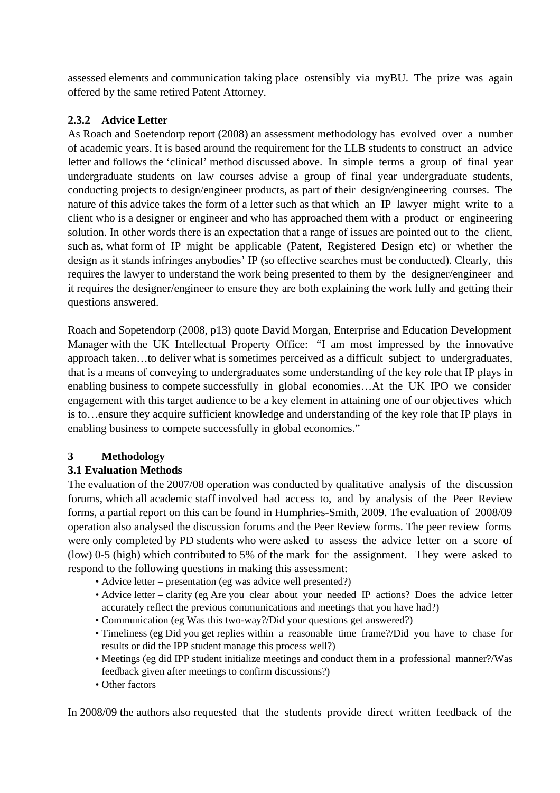assessed elements and communication taking place ostensibly via myBU. The prize was again offered by the same retired Patent Attorney.

# **2.3.2 Advice Letter**

As Roach and Soetendorp report (2008) an assessment methodology has evolved over a number of academic years. It is based around the requirement for the LLB students to construct an advice letter and follows the 'clinical' method discussed above. In simple terms a group of final year undergraduate students on law courses advise a group of final year undergraduate students, conducting projects to design/engineer products, as part of their design/engineering courses. The nature of this advice takes the form of a letter such as that which an IP lawyer might write to a client who is a designer or engineer and who has approached them with a product or engineering solution. In other words there is an expectation that a range of issues are pointed out to the client, such as, what form of IP might be applicable (Patent, Registered Design etc) or whether the design as it stands infringes anybodies' IP (so effective searches must be conducted). Clearly, this requires the lawyer to understand the work being presented to them by the designer/engineer and it requires the designer/engineer to ensure they are both explaining the work fully and getting their questions answered.

Roach and Sopetendorp (2008, p13) quote David Morgan, Enterprise and Education Development Manager with the UK Intellectual Property Office: "I am most impressed by the innovative approach taken…to deliver what is sometimes perceived as a difficult subject to undergraduates, that is a means of conveying to undergraduates some understanding of the key role that IP plays in enabling business to compete successfully in global economies…At the UK IPO we consider engagement with this target audience to be a key element in attaining one of our objectives which is to…ensure they acquire sufficient knowledge and understanding of the key role that IP plays in enabling business to compete successfully in global economies."

## **3 Methodology**

## **3.1 Evaluation Methods**

The evaluation of the 2007/08 operation was conducted by qualitative analysis of the discussion forums, which all academic staff involved had access to, and by analysis of the Peer Review forms, a partial report on this can be found in Humphries-Smith, 2009. The evaluation of 2008/09 operation also analysed the discussion forums and the Peer Review forms. The peer review forms were only completed by PD students who were asked to assess the advice letter on a score of (low) 0-5 (high) which contributed to 5% of the mark for the assignment. They were asked to respond to the following questions in making this assessment:

- Advice letter presentation (eg was advice well presented?)
- Advice letter clarity (eg Are you clear about your needed IP actions? Does the advice letter accurately reflect the previous communications and meetings that you have had?)
- Communication (eg Was this two-way?/Did your questions get answered?)
- Timeliness (eg Did you get replies within a reasonable time frame?/Did you have to chase for results or did the IPP student manage this process well?)
- Meetings (eg did IPP student initialize meetings and conduct them in a professional manner?/Was feedback given after meetings to confirm discussions?)
- Other factors

In 2008/09 the authors also requested that the students provide direct written feedback of the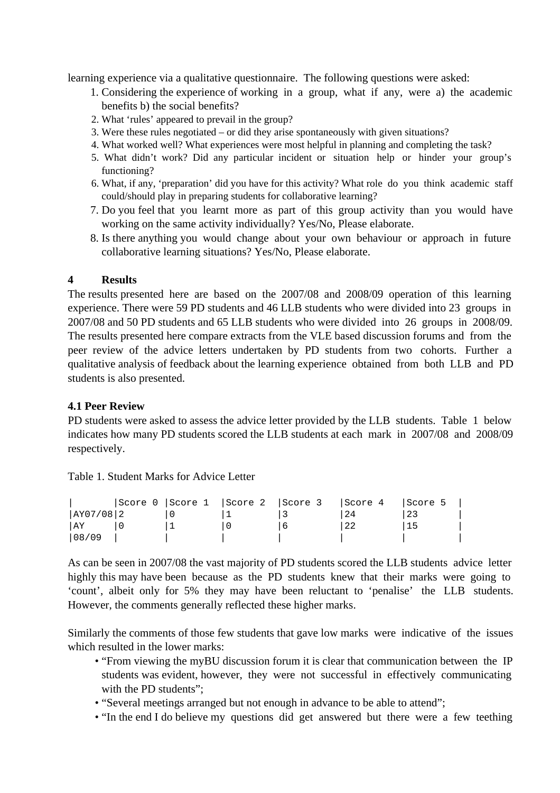learning experience via a qualitative questionnaire. The following questions were asked:

- 1. Considering the experience of working in a group, what if any, were a) the academic benefits b) the social benefits?
- 2. What 'rules' appeared to prevail in the group?
- 3. Were these rules negotiated or did they arise spontaneously with given situations?
- 4. What worked well? What experiences were most helpful in planning and completing the task?
- 5. What didn't work? Did any particular incident or situation help or hinder your group's functioning?
- 6. What, if any, 'preparation' did you have for this activity? What role do you think academic staff could/should play in preparing students for collaborative learning?
- 7. Do you feel that you learnt more as part of this group activity than you would have working on the same activity individually? Yes/No, Please elaborate.
- 8. Is there anything you would change about your own behaviour or approach in future collaborative learning situations? Yes/No, Please elaborate.

## **4 Results**

The results presented here are based on the 2007/08 and 2008/09 operation of this learning experience. There were 59 PD students and 46 LLB students who were divided into 23 groups in 2007/08 and 50 PD students and 65 LLB students who were divided into 26 groups in 2008/09. The results presented here compare extracts from the VLE based discussion forums and from the peer review of the advice letters undertaken by PD students from two cohorts. Further a qualitative analysis of feedback about the learning experience obtained from both LLB and PD students is also presented.

#### **4.1 Peer Review**

PD students were asked to assess the advice letter provided by the LLB students. Table 1 below indicates how many PD students scored the LLB students at each mark in 2007/08 and 2008/09 respectively.

Table 1. Student Marks for Advice Letter

|             |  | Score 0  Score 1  Score 2  Score 3  Score 4 |    | Score 5 |
|-------------|--|---------------------------------------------|----|---------|
| AY07/08   2 |  |                                             | 24 | 23      |
| I AY        |  |                                             | 22 | 15.     |
| 108/09      |  |                                             |    |         |

As can be seen in 2007/08 the vast majority of PD students scored the LLB students advice letter highly this may have been because as the PD students knew that their marks were going to 'count', albeit only for 5% they may have been reluctant to 'penalise' the LLB students. However, the comments generally reflected these higher marks.

Similarly the comments of those few students that gave low marks were indicative of the issues which resulted in the lower marks:

- "From viewing the myBU discussion forum it is clear that communication between the IP students was evident, however, they were not successful in effectively communicating with the PD students";
- "Several meetings arranged but not enough in advance to be able to attend";
- "In the end I do believe my questions did get answered but there were a few teething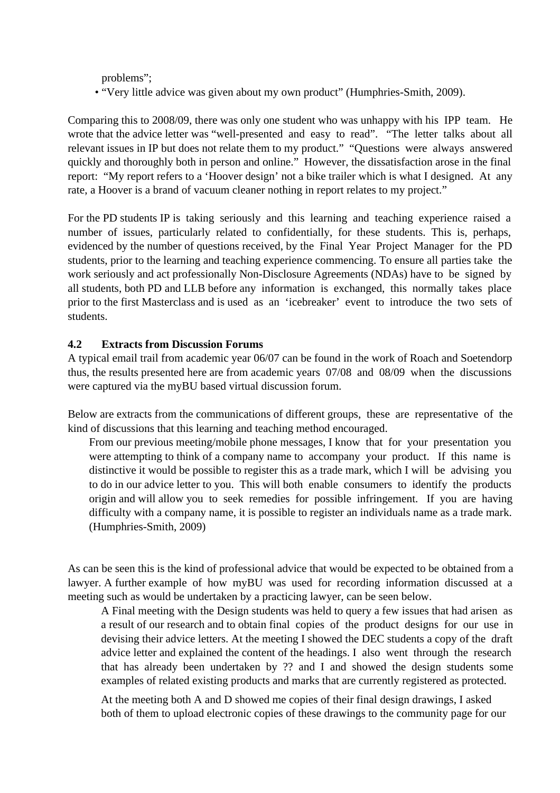problems";

• "Very little advice was given about my own product" (Humphries-Smith, 2009).

Comparing this to 2008/09, there was only one student who was unhappy with his IPP team. He wrote that the advice letter was "well-presented and easy to read". "The letter talks about all relevant issues in IP but does not relate them to my product." "Questions were always answered quickly and thoroughly both in person and online." However, the dissatisfaction arose in the final report: "My report refers to a 'Hoover design' not a bike trailer which is what I designed. At any rate, a Hoover is a brand of vacuum cleaner nothing in report relates to my project."

For the PD students IP is taking seriously and this learning and teaching experience raised a number of issues, particularly related to confidentially, for these students. This is, perhaps, evidenced by the number of questions received, by the Final Year Project Manager for the PD students, prior to the learning and teaching experience commencing. To ensure all parties take the work seriously and act professionally Non-Disclosure Agreements (NDAs) have to be signed by all students, both PD and LLB before any information is exchanged, this normally takes place prior to the first Masterclass and is used as an 'icebreaker' event to introduce the two sets of students.

## **4.2 Extracts from Discussion Forums**

A typical email trail from academic year 06/07 can be found in the work of Roach and Soetendorp thus, the results presented here are from academic years 07/08 and 08/09 when the discussions were captured via the myBU based virtual discussion forum.

Below are extracts from the communications of different groups, these are representative of the kind of discussions that this learning and teaching method encouraged.

From our previous meeting/mobile phone messages, I know that for your presentation you were attempting to think of a company name to accompany your product. If this name is distinctive it would be possible to register this as a trade mark, which I will be advising you to do in our advice letter to you. This will both enable consumers to identify the products origin and will allow you to seek remedies for possible infringement. If you are having difficulty with a company name, it is possible to register an individuals name as a trade mark. (Humphries-Smith, 2009)

As can be seen this is the kind of professional advice that would be expected to be obtained from a lawyer. A further example of how myBU was used for recording information discussed at a meeting such as would be undertaken by a practicing lawyer, can be seen below.

A Final meeting with the Design students was held to query a few issues that had arisen as a result of our research and to obtain final copies of the product designs for our use in devising their advice letters. At the meeting I showed the DEC students a copy of the draft advice letter and explained the content of the headings. I also went through the research that has already been undertaken by ?? and I and showed the design students some examples of related existing products and marks that are currently registered as protected.

At the meeting both A and D showed me copies of their final design drawings, I asked both of them to upload electronic copies of these drawings to the community page for our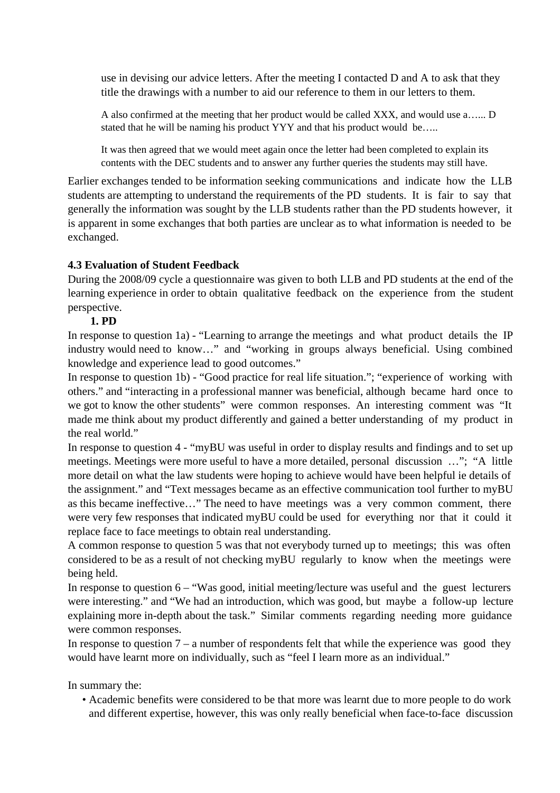use in devising our advice letters. After the meeting I contacted D and A to ask that they title the drawings with a number to aid our reference to them in our letters to them.

A also confirmed at the meeting that her product would be called XXX, and would use a…... D stated that he will be naming his product YYY and that his product would be…..

It was then agreed that we would meet again once the letter had been completed to explain its contents with the DEC students and to answer any further queries the students may still have.

Earlier exchanges tended to be information seeking communications and indicate how the LLB students are attempting to understand the requirements of the PD students. It is fair to say that generally the information was sought by the LLB students rather than the PD students however, it is apparent in some exchanges that both parties are unclear as to what information is needed to be exchanged.

## **4.3 Evaluation of Student Feedback**

During the 2008/09 cycle a questionnaire was given to both LLB and PD students at the end of the learning experience in order to obtain qualitative feedback on the experience from the student perspective.

## **1. PD**

In response to question 1a) - "Learning to arrange the meetings and what product details the IP industry would need to know…" and "working in groups always beneficial. Using combined knowledge and experience lead to good outcomes."

In response to question 1b) - "Good practice for real life situation."; "experience of working with others." and "interacting in a professional manner was beneficial, although became hard once to we got to know the other students" were common responses. An interesting comment was "It made me think about my product differently and gained a better understanding of my product in the real world."

In response to question 4 - "myBU was useful in order to display results and findings and to set up meetings. Meetings were more useful to have a more detailed, personal discussion …"; "A little more detail on what the law students were hoping to achieve would have been helpful ie details of the assignment." and "Text messages became as an effective communication tool further to myBU as this became ineffective…" The need to have meetings was a very common comment, there were very few responses that indicated myBU could be used for everything nor that it could it replace face to face meetings to obtain real understanding.

A common response to question 5 was that not everybody turned up to meetings; this was often considered to be as a result of not checking myBU regularly to know when the meetings were being held.

In response to question  $6 -$  "Was good, initial meeting/lecture was useful and the guest lecturers were interesting." and "We had an introduction, which was good, but maybe a follow-up lecture explaining more in-depth about the task." Similar comments regarding needing more guidance were common responses.

In response to question  $7 - a$  number of respondents felt that while the experience was good they would have learnt more on individually, such as "feel I learn more as an individual."

In summary the:

• Academic benefits were considered to be that more was learnt due to more people to do work and different expertise, however, this was only really beneficial when face-to-face discussion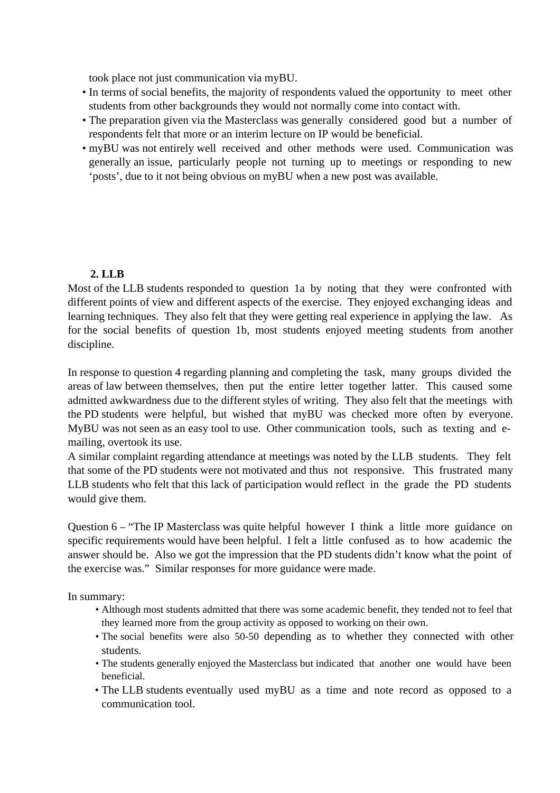took place not just communication via myBU.

- In terms of social benefits, the majority of respondents valued the opportunity to meet other students from other backgrounds they would not normally come into contact with.
- The preparation given via the Masterclass was generally considered good but a number of respondents felt that more or an interim lecture on IP would be beneficial.
- myBU was not entirely well received and other methods were used. Communication was generally an issue, particularly people not turning up to meetings or responding to new 'posts', due to it not being obvious on myBU when a new post was available.

## **2. LLB**

Most of the LLB students responded to question 1a by noting that they were confronted with different points of view and different aspects of the exercise. They enjoyed exchanging ideas and learning techniques. They also felt that they were getting real experience in applying the law. As for the social benefits of question 1b, most students enjoyed meeting students from another discipline.

In response to question 4 regarding planning and completing the task, many groups divided the areas of law between themselves, then put the entire letter together latter. This caused some admitted awkwardness due to the different styles of writing. They also felt that the meetings with the PD students were helpful, but wished that myBU was checked more often by everyone. MyBU was not seen as an easy tool to use. Other communication tools, such as texting and emailing, overtook its use.

A similar complaint regarding attendance at meetings was noted by the LLB students. They felt that some of the PD students were not motivated and thus not responsive. This frustrated many LLB students who felt that this lack of participation would reflect in the grade the PD students would give them.

Question 6 – "The IP Masterclass was quite helpful however I think a little more guidance on specific requirements would have been helpful. I felt a little confused as to how academic the answer should be. Also we got the impression that the PD students didn't know what the point of the exercise was." Similar responses for more guidance were made.

In summary:

- Although most students admitted that there was some academic benefit, they tended not to feel that they learned more from the group activity as opposed to working on their own.
- The social benefits were also 50-50 depending as to whether they connected with other students.
- The students generally enjoyed the Masterclass but indicated that another one would have been beneficial.
- The LLB students eventually used myBU as a time and note record as opposed to a communication tool.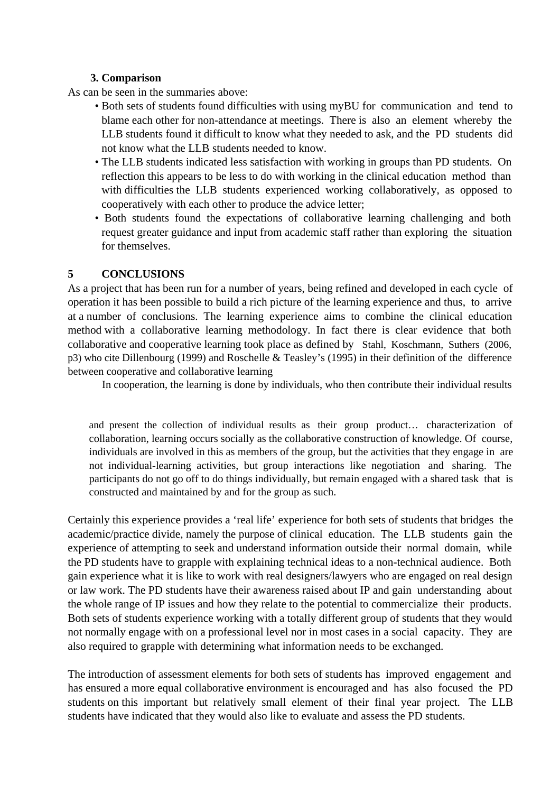#### **3. Comparison**

As can be seen in the summaries above:

- Both sets of students found difficulties with using myBU for communication and tend to blame each other for non-attendance at meetings. There is also an element whereby the LLB students found it difficult to know what they needed to ask, and the PD students did not know what the LLB students needed to know.
- The LLB students indicated less satisfaction with working in groups than PD students. On reflection this appears to be less to do with working in the clinical education method than with difficulties the LLB students experienced working collaboratively, as opposed to cooperatively with each other to produce the advice letter;
- Both students found the expectations of collaborative learning challenging and both request greater guidance and input from academic staff rather than exploring the situation for themselves.

## **5 CONCLUSIONS**

As a project that has been run for a number of years, being refined and developed in each cycle of operation it has been possible to build a rich picture of the learning experience and thus, to arrive at a number of conclusions. The learning experience aims to combine the clinical education method with a collaborative learning methodology. In fact there is clear evidence that both collaborative and cooperative learning took place as defined by Stahl, Koschmann, Suthers (2006, p3) who cite Dillenbourg (1999) and Roschelle & Teasley's (1995) in their definition of the difference between cooperative and collaborative learning

In cooperation, the learning is done by individuals, who then contribute their individual results

and present the collection of individual results as their group product… characterization of collaboration, learning occurs socially as the collaborative construction of knowledge. Of course, individuals are involved in this as members of the group, but the activities that they engage in are not individual-learning activities, but group interactions like negotiation and sharing. The participants do not go off to do things individually, but remain engaged with a shared task that is constructed and maintained by and for the group as such.

Certainly this experience provides a 'real life' experience for both sets of students that bridges the academic/practice divide, namely the purpose of clinical education. The LLB students gain the experience of attempting to seek and understand information outside their normal domain, while the PD students have to grapple with explaining technical ideas to a non-technical audience. Both gain experience what it is like to work with real designers/lawyers who are engaged on real design or law work. The PD students have their awareness raised about IP and gain understanding about the whole range of IP issues and how they relate to the potential to commercialize their products. Both sets of students experience working with a totally different group of students that they would not normally engage with on a professional level nor in most cases in a social capacity. They are also required to grapple with determining what information needs to be exchanged.

The introduction of assessment elements for both sets of students has improved engagement and has ensured a more equal collaborative environment is encouraged and has also focused the PD students on this important but relatively small element of their final year project. The LLB students have indicated that they would also like to evaluate and assess the PD students.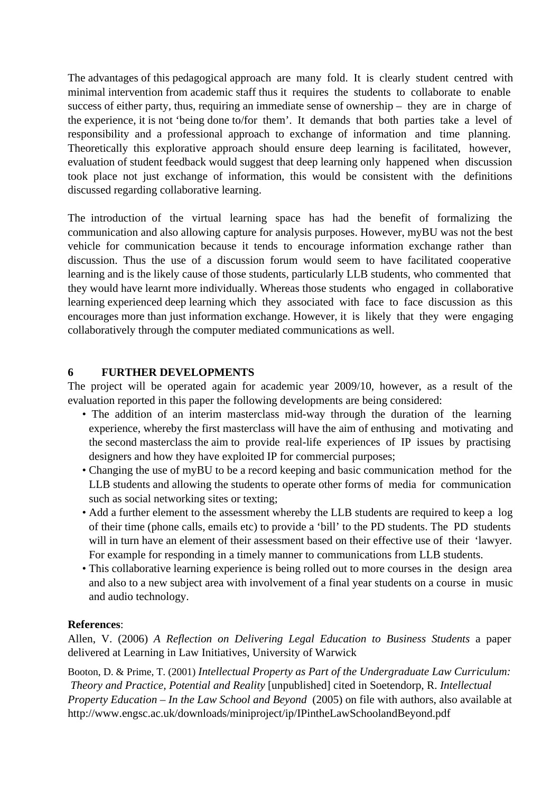The advantages of this pedagogical approach are many fold. It is clearly student centred with minimal intervention from academic staff thus it requires the students to collaborate to enable success of either party, thus, requiring an immediate sense of ownership – they are in charge of the experience, it is not 'being done to/for them'. It demands that both parties take a level of responsibility and a professional approach to exchange of information and time planning. Theoretically this explorative approach should ensure deep learning is facilitated, however, evaluation of student feedback would suggest that deep learning only happened when discussion took place not just exchange of information, this would be consistent with the definitions discussed regarding collaborative learning.

The introduction of the virtual learning space has had the benefit of formalizing the communication and also allowing capture for analysis purposes. However, myBU was not the best vehicle for communication because it tends to encourage information exchange rather than discussion. Thus the use of a discussion forum would seem to have facilitated cooperative learning and is the likely cause of those students, particularly LLB students, who commented that they would have learnt more individually. Whereas those students who engaged in collaborative learning experienced deep learning which they associated with face to face discussion as this encourages more than just information exchange. However, it is likely that they were engaging collaboratively through the computer mediated communications as well.

## **6 FURTHER DEVELOPMENTS**

The project will be operated again for academic year 2009/10, however, as a result of the evaluation reported in this paper the following developments are being considered:

- The addition of an interim masterclass mid-way through the duration of the learning experience, whereby the first masterclass will have the aim of enthusing and motivating and the second masterclass the aim to provide real-life experiences of IP issues by practising designers and how they have exploited IP for commercial purposes;
- Changing the use of myBU to be a record keeping and basic communication method for the LLB students and allowing the students to operate other forms of media for communication such as social networking sites or texting;
- Add a further element to the assessment whereby the LLB students are required to keep a log of their time (phone calls, emails etc) to provide a 'bill' to the PD students. The PD students will in turn have an element of their assessment based on their effective use of their 'lawyer. For example for responding in a timely manner to communications from LLB students.
- This collaborative learning experience is being rolled out to more courses in the design area and also to a new subject area with involvement of a final year students on a course in music and audio technology.

## **References**:

Allen, V. (2006) *A Reflection on Delivering Legal Education to Business Students* a paper delivered at Learning in Law Initiatives, University of Warwick

Booton, D. & Prime, T. (2001) *Intellectual Property as Part of the Undergraduate Law Curriculum: Theory and Practice, Potential and Reality* [unpublished] cited in Soetendorp, R. *Intellectual Property Education – In the Law School and Beyond* (2005) on file with authors, also available at http://www.engsc.ac.uk/downloads/miniproject/ip/IPintheLawSchoolandBeyond.pdf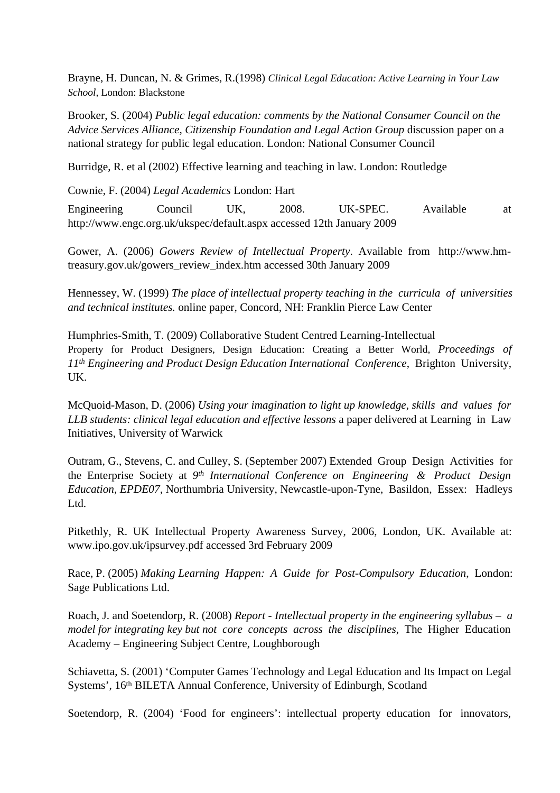Brayne, H. Duncan, N. & Grimes, R.(1998) *Clinical Legal Education: Active Learning in Your Law School,* London: Blackstone

Brooker, S. (2004) *Public legal education: comments by the National Consumer Council on the Advice Services Alliance, Citizenship Foundation and Legal Action Group* discussion paper on a national strategy for public legal education. London: National Consumer Council

Burridge, R. et al (2002) Effective learning and teaching in law. London: Routledge

Cownie, F. (2004) *Legal Academics* London: Hart

Engineering Council UK, 2008. UK-SPEC. Available at http://www.engc.org.uk/ukspec/default.aspx accessed 12th January 2009

Gower, A. (2006) *Gowers Review of Intellectual Property*. Available from http://www.hmtreasury.gov.uk/gowers\_review\_index.htm accessed 30th January 2009

Hennessey, W. (1999) *The place of intellectual property teaching in the curricula of universities and technical institutes.* online paper, Concord, NH: Franklin Pierce Law Center

Humphries-Smith, T. (2009) Collaborative Student Centred Learning-Intellectual Property for Product Designers, Design Education: Creating a Better World, *Proceedings of 11th Engineering and Product Design Education International Conference*, Brighton University, UK.

McQuoid-Mason, D. (2006) *Using your imagination to light up knowledge, skills and values for LLB students: clinical legal education and effective lessons* a paper delivered at Learning in Law Initiatives, University of Warwick

Outram, G., Stevens, C. and Culley, S. (September 2007) Extended Group Design Activities for the Enterprise Society at *9th International Conference on Engineering & Product Design Education, EPDE07,* Northumbria University*,* Newcastle-upon-Tyne, Basildon, Essex: Hadleys Ltd.

Pitkethly, R. UK Intellectual Property Awareness Survey, 2006, London, UK. Available at: www.ipo.gov.uk/ipsurvey.pdf accessed 3rd February 2009

Race, P. (2005) *Making Learning Happen: A Guide for Post-Compulsory Education*, London: Sage Publications Ltd.

Roach, J. and Soetendorp, R. (2008) *Report* - *Intellectual property in the engineering syllabus – a model for integrating key but not core concepts across the disciplines*, The Higher Education Academy – Engineering Subject Centre, Loughborough

Schiavetta, S. (2001) 'Computer Games Technology and Legal Education and Its Impact on Legal Systems', 16th BILETA Annual Conference, University of Edinburgh, Scotland

Soetendorp, R. (2004) 'Food for engineers': intellectual property education for innovators,